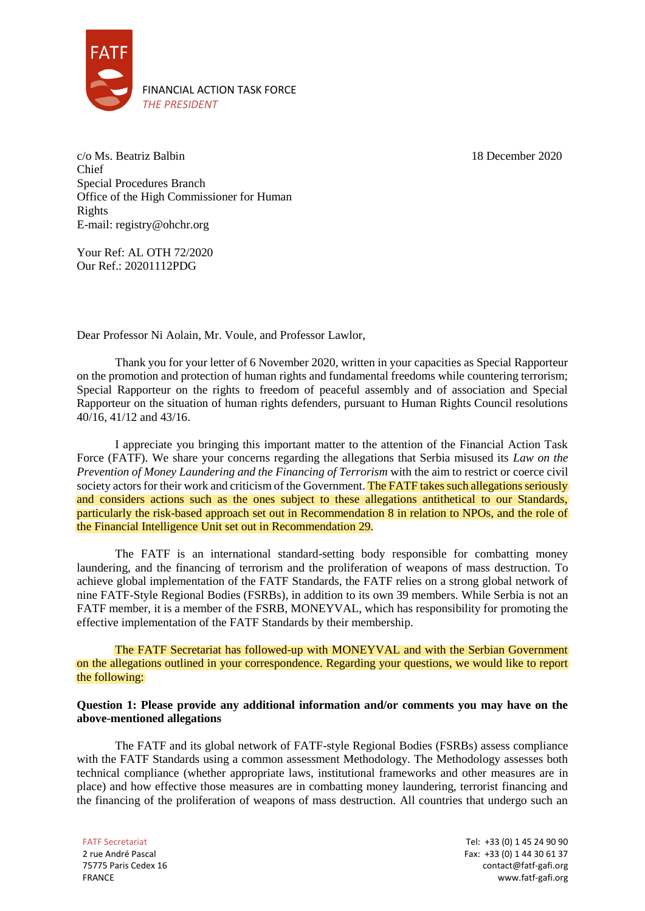

18 December 2020

c/o Ms. Beatriz Balbin Chief Special Procedures Branch Office of the High Commissioner for Human Rights E-mail: registry@ohchr.org

Your Ref: AL OTH 72/2020 Our Ref.: 20201112PDG

Dear Professor Ni Aolain, Mr. Voule, and Professor Lawlor,

Thank you for your letter of 6 November 2020, written in your capacities as Special Rapporteur on the promotion and protection of human rights and fundamental freedoms while countering terrorism; Special Rapporteur on the rights to freedom of peaceful assembly and of association and Special Rapporteur on the situation of human rights defenders, pursuant to Human Rights Council resolutions 40/16, 41/12 and 43/16.

I appreciate you bringing this important matter to the attention of the Financial Action Task Force (FATF). We share your concerns regarding the allegations that Serbia misused its *Law on the Prevention of Money Laundering and the Financing of Terrorism* with the aim to restrict or coerce civil society actors for their work and criticism of the Government. The FATF takes such allegations seriously and considers actions such as the ones subject to these allegations antithetical to our Standards, particularly the risk-based approach set out in Recommendation 8 in relation to NPOs, and the role of the Financial Intelligence Unit set out in Recommendation 29.

The FATF is an international standard-setting body responsible for combatting money laundering, and the financing of terrorism and the proliferation of weapons of mass destruction. To achieve global implementation of the FATF Standards, the FATF relies on a strong global network of nine FATF-Style Regional Bodies (FSRBs), in addition to its own 39 members. While Serbia is not an FATF member, it is a member of the FSRB, MONEYVAL, which has responsibility for promoting the effective implementation of the FATF Standards by their membership.

The FATF Secretariat has followed-up with MONEYVAL and with the Serbian Government on the allegations outlined in your correspondence. Regarding your questions, we would like to report the following:

## **Question 1: Please provide any additional information and/or comments you may have on the above-mentioned allegations**

The FATF and its global network of FATF-style Regional Bodies (FSRBs) assess compliance with the FATF Standards using a common assessment Methodology. The Methodology assesses both technical compliance (whether appropriate laws, institutional frameworks and other measures are in place) and how effective those measures are in combatting money laundering, terrorist financing and the financing of the proliferation of weapons of mass destruction. All countries that undergo such an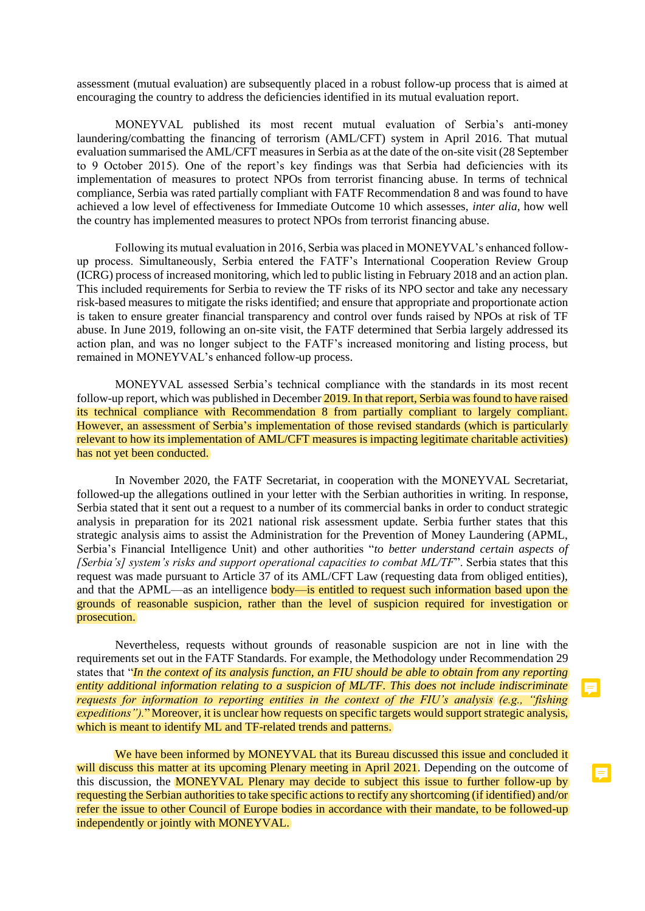assessment (mutual evaluation) are subsequently placed in a robust follow-up process that is aimed at encouraging the country to address the deficiencies identified in its mutual evaluation report.

MONEYVAL published its most recent mutual evaluation of Serbia's anti-money laundering/combatting the financing of terrorism (AML/CFT) system in April 2016. That mutual evaluation summarised the AML/CFT measures in Serbia as at the date of the on-site visit (28 September to 9 October 2015). One of the report's key findings was that Serbia had deficiencies with its implementation of measures to protect NPOs from terrorist financing abuse. In terms of technical compliance, Serbia was rated partially compliant with FATF Recommendation 8 and was found to have achieved a low level of effectiveness for Immediate Outcome 10 which assesses, *inter alia*, how well the country has implemented measures to protect NPOs from terrorist financing abuse.

Following its mutual evaluation in 2016, Serbia was placed in MONEYVAL's enhanced followup process. Simultaneously, Serbia entered the FATF's International Cooperation Review Group (ICRG) process of increased monitoring, which led to public listing in February 2018 and an action plan. This included requirements for Serbia to review the TF risks of its NPO sector and take any necessary risk-based measures to mitigate the risks identified; and ensure that appropriate and proportionate action is taken to ensure greater financial transparency and control over funds raised by NPOs at risk of TF abuse. In June 2019, following an on-site visit, the FATF determined that Serbia largely addressed its action plan, and was no longer subject to the FATF's increased monitoring and listing process, but remained in MONEYVAL's enhanced follow-up process.

MONEYVAL assessed Serbia's technical compliance with the standards in its most recent follow-up report, which was published in December 2019. In that report, Serbia was found to have raised its technical compliance with Recommendation 8 from partially compliant to largely compliant. However, an assessment of Serbia's implementation of those revised standards (which is particularly relevant to how its implementation of AML/CFT measures is impacting legitimate charitable activities) has not yet been conducted.

In November 2020, the FATF Secretariat, in cooperation with the MONEYVAL Secretariat, followed-up the allegations outlined in your letter with the Serbian authorities in writing. In response, Serbia stated that it sent out a request to a number of its commercial banks in order to conduct strategic analysis in preparation for its 2021 national risk assessment update. Serbia further states that this strategic analysis aims to assist the Administration for the Prevention of Money Laundering (APML, Serbia's Financial Intelligence Unit) and other authorities "*to better understand certain aspects of [Serbia's] system's risks and support operational capacities to combat ML/TF*". Serbia states that this request was made pursuant to Article 37 of its AML/CFT Law (requesting data from obliged entities), and that the APML—as an intelligence **body—is entitled to request such information based upon the** grounds of reasonable suspicion, rather than the level of suspicion required for investigation or prosecution.

Nevertheless, requests without grounds of reasonable suspicion are not in line with the requirements set out in the FATF Standards. For example, the Methodology under Recommendation 29 states that "*In the context of its analysis function, an FIU should be able to obtain from any reporting entity additional information relating to a suspicion of ML/TF. This does not include indiscriminate requests for information to reporting entities in the context of the FIU's analysis (e.g., "fishing expeditions").*" Moreover, it is unclear how requests on specific targets would support strategic analysis, which is meant to identify ML and TF-related trends and patterns.

We have been informed by MONEYVAL that its Bureau discussed this issue and concluded it will discuss this matter at its upcoming Plenary meeting in April 2021. Depending on the outcome of this discussion, the **MONEYVAL Plenary may decide to subject this issue to further follow-up by** requesting the Serbian authorities to take specific actions to rectify any shortcoming (if identified) and/or refer the issue to other Council of Europe bodies in accordance with their mandate, to be followed-up independently or jointly with MONEYVAL.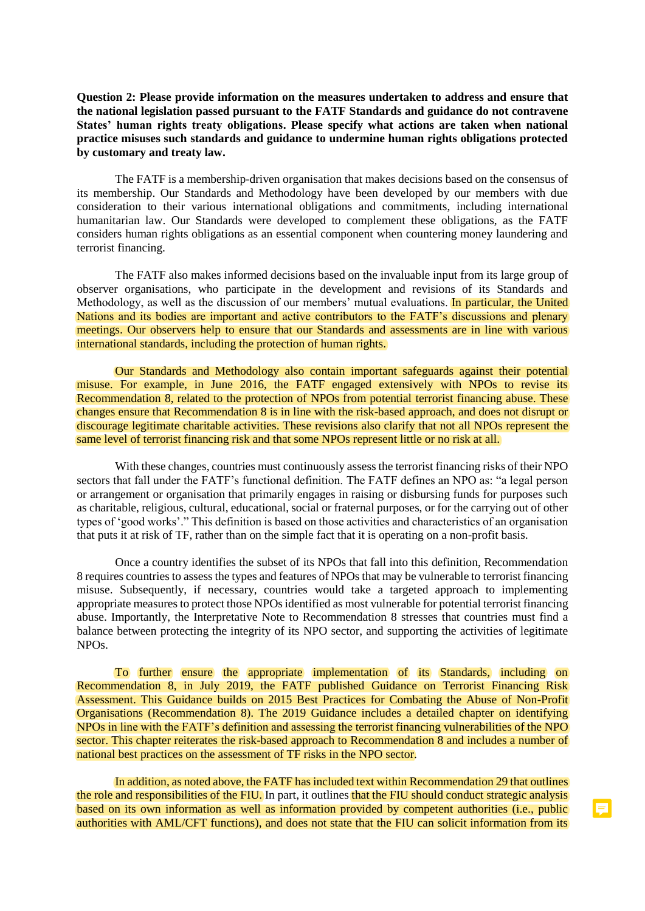**Question 2: Please provide information on the measures undertaken to address and ensure that the national legislation passed pursuant to the FATF Standards and guidance do not contravene States' human rights treaty obligations. Please specify what actions are taken when national practice misuses such standards and guidance to undermine human rights obligations protected by customary and treaty law.**

The FATF is a membership-driven organisation that makes decisions based on the consensus of its membership. Our Standards and Methodology have been developed by our members with due consideration to their various international obligations and commitments, including international humanitarian law. Our Standards were developed to complement these obligations, as the FATF considers human rights obligations as an essential component when countering money laundering and terrorist financing.

The FATF also makes informed decisions based on the invaluable input from its large group of observer organisations, who participate in the development and revisions of its Standards and Methodology, as well as the discussion of our members' mutual evaluations. In particular, the United Nations and its bodies are important and active contributors to the FATF's discussions and plenary meetings. Our observers help to ensure that our Standards and assessments are in line with various international standards, including the protection of human rights.

Our Standards and Methodology also contain important safeguards against their potential misuse. For example, in June 2016, the FATF engaged extensively with NPOs to revise its Recommendation 8, related to the protection of NPOs from potential terrorist financing abuse. These changes ensure that Recommendation 8 is in line with the risk-based approach, and does not disrupt or discourage legitimate charitable activities. These revisions also clarify that not all NPOs represent the same level of terrorist financing risk and that some NPOs represent little or no risk at all.

With these changes, countries must continuously assess the terrorist financing risks of their NPO sectors that fall under the FATF's functional definition. The FATF defines an NPO as: "a legal person or arrangement or organisation that primarily engages in raising or disbursing funds for purposes such as charitable, religious, cultural, educational, social or fraternal purposes, or for the carrying out of other types of 'good works'." This definition is based on those activities and characteristics of an organisation that puts it at risk of TF, rather than on the simple fact that it is operating on a non-profit basis.

Once a country identifies the subset of its NPOs that fall into this definition, Recommendation 8 requires countries to assess the types and features of NPOs that may be vulnerable to terrorist financing misuse. Subsequently, if necessary, countries would take a targeted approach to implementing appropriate measures to protect those NPOs identified as most vulnerable for potential terrorist financing abuse. Importantly, the Interpretative Note to Recommendation 8 stresses that countries must find a balance between protecting the integrity of its NPO sector, and supporting the activities of legitimate NPOs.

To further ensure the appropriate implementation of its Standards, including on Recommendation 8, in July 2019, the FATF published Guidance on Terrorist Financing Risk Assessment. This Guidance builds on 2015 Best Practices for Combating the Abuse of Non-Profit Organisations (Recommendation 8). The 2019 Guidance includes a detailed chapter on identifying NPOs in line with the FATF's definition and assessing the terrorist financing vulnerabilities of the NPO sector. This chapter reiterates the risk-based approach to Recommendation 8 and includes a number of national best practices on the assessment of TF risks in the NPO sector.

In addition, as noted above, the FATF has included text within Recommendation 29 that outlines the role and responsibilities of the FIU. In part, it outlines that the FIU should conduct strategic analysis based on its own information as well as information provided by competent authorities (i.e., public authorities with AML/CFT functions), and does not state that the FIU can solicit information from its